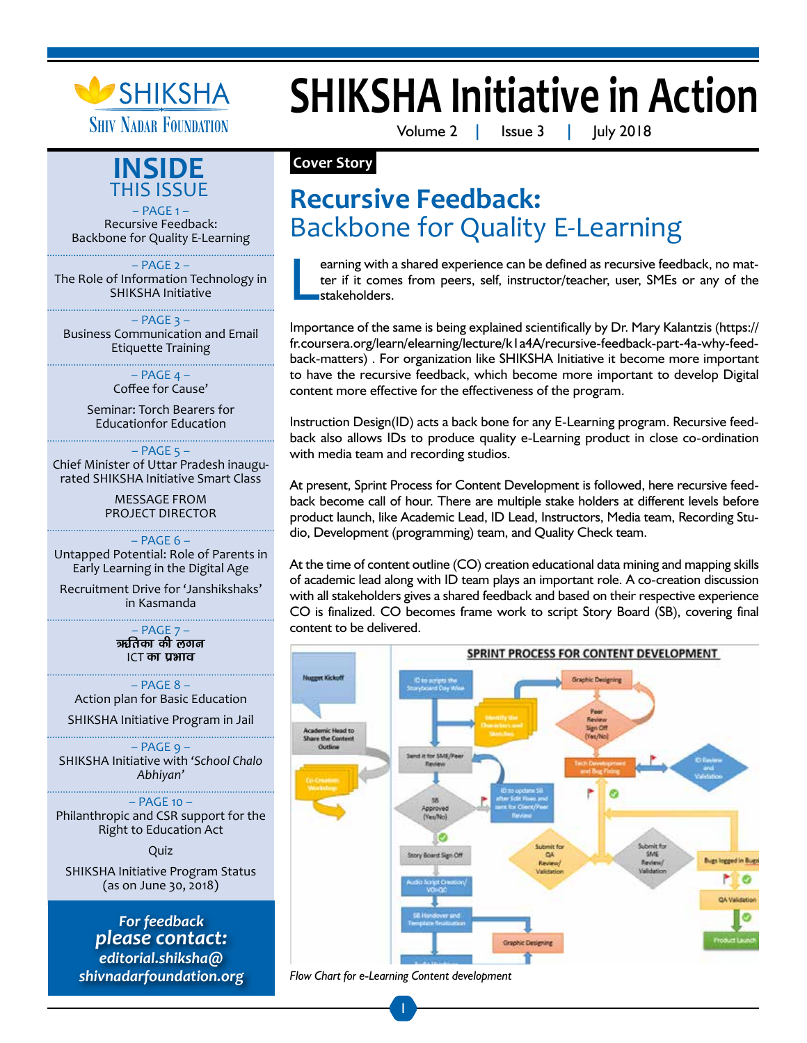



– PAGE 1 – Recursive Feedback: Backbone for Quality E-Learning

 $-$  PAGE  $2 -$ The Role of Information Technology in SHIKSHA Initiative

 $-$  PAGE  $3 -$ Business Communication and Email Etiquette Training

> $-$  PAGE  $4 -$ Coffee for Cause'

Seminar: Torch Bearers for Educationfor Education

 $-$  PAGE  $5 -$ 

Chief Minister of Uttar Pradesh inaugurated SHIKSHA Initiative Smart Class

> MESSAGE FROM PROJECT DIRECTOR

– PAGE 6 – Untapped Potential: Role of Parents in Early Learning in the Digital Age

Recruitment Drive for 'Janshikshaks' in Kasmanda

> $-$  PAGE  $7 -$ ऋतिका की लगन  $ICT$  का प्रभाव

– PAGE 8 – Action plan for Basic Education

SHIKSHA Initiative Program in Jail

– PAGE 9 – SHIKSHA Initiative with *'School Chalo Abhiyan'*

– PAGE 10 – Philanthropic and CSR support for the Right to Education Act

Quiz

SHIKSHA Initiative Program Status (as on June 30, 2018)

*For feedback please contact: editorial.shiksha@ shivnadarfoundation.org* 

# **SHIKSHA Initiative in Action**

Volume 2 **|** Issue 3 **|** July 2018

### **Cover Story**

# **Recursive Feedback:**  Backbone for Quality E-Learning

L earning with a shared experience can be defined as recursive feedback, no matter if it comes from peers, self, instructor/teacher, user, SMEs or any of the stakeholders.

Importance of the same is being explained scientifically by Dr. Mary Kalantzis (https:// fr.coursera.org/learn/elearning/lecture/k1a4A/recursive-feedback-part-4a-why-feedback-matters) . For organization like SHIKSHA Initiative it become more important to have the recursive feedback, which become more important to develop Digital content more effective for the effectiveness of the program.

Instruction Design(ID) acts a back bone for any E-Learning program. Recursive feedback also allows IDs to produce quality e-Learning product in close co-ordination with media team and recording studios.

At present, Sprint Process for Content Development is followed, here recursive feedback become call of hour. There are multiple stake holders at different levels before product launch, like Academic Lead, ID Lead, Instructors, Media team, Recording Studio, Development (programming) team, and Quality Check team.

At the time of content outline (CO) creation educational data mining and mapping skills of academic lead along with ID team plays an important role. A co-creation discussion with all stakeholders gives a shared feedback and based on their respective experience CO is finalized. CO becomes frame work to script Story Board (SB), covering final content to be delivered.



*Flow Chart for e-Learning Content development*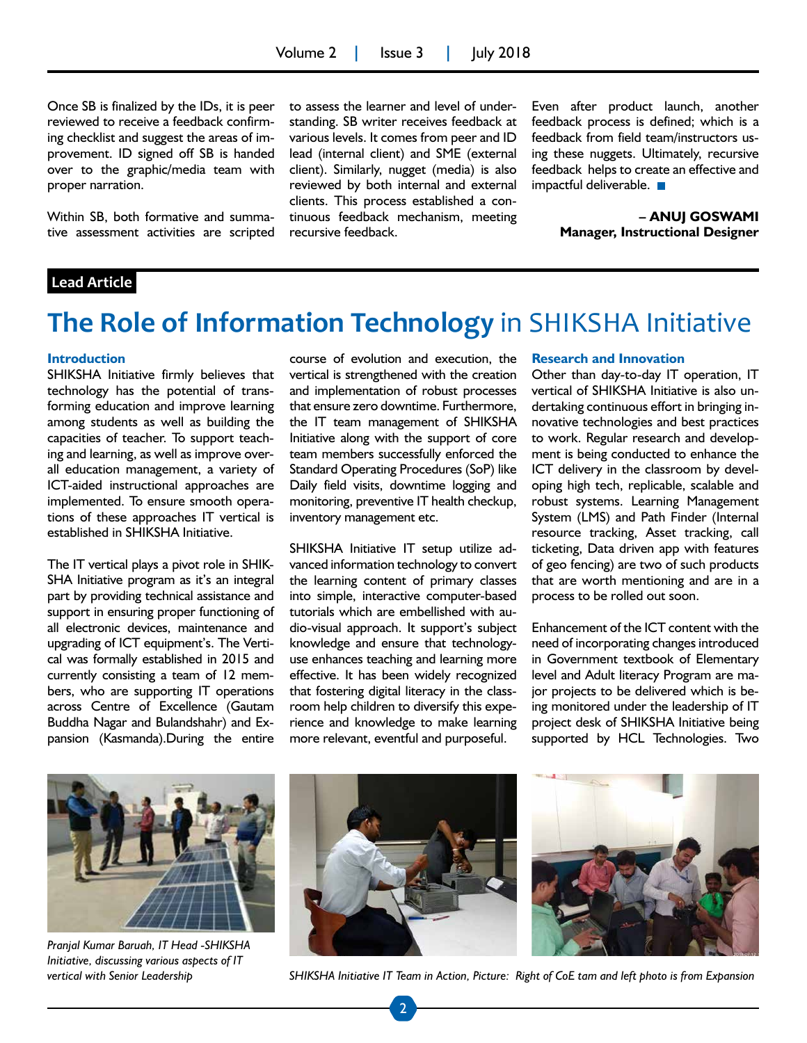Once SB is finalized by the IDs, it is peer reviewed to receive a feedback confirming checklist and suggest the areas of improvement. ID signed off SB is handed over to the graphic/media team with proper narration.

Within SB, both formative and summative assessment activities are scripted to assess the learner and level of understanding. SB writer receives feedback at various levels. It comes from peer and ID lead (internal client) and SME (external client). Similarly, nugget (media) is also reviewed by both internal and external clients. This process established a continuous feedback mechanism, meeting recursive feedback.

Even after product launch, another feedback process is defined; which is a feedback from field team/instructors using these nuggets. Ultimately, recursive feedback helps to create an effective and impactful deliverable.

> **– ANUJ GOSWAMI Manager, Instructional Designer**

#### **Lead Article**

## **The Role of Information Technology** in SHIKSHA Initiative

#### **Introduction**

SHIKSHA Initiative firmly believes that technology has the potential of transforming education and improve learning among students as well as building the capacities of teacher. To support teaching and learning, as well as improve overall education management, a variety of ICT-aided instructional approaches are implemented. To ensure smooth operations of these approaches IT vertical is established in SHIKSHA Initiative.

The IT vertical plays a pivot role in SHIK-SHA Initiative program as it's an integral part by providing technical assistance and support in ensuring proper functioning of all electronic devices, maintenance and upgrading of ICT equipment's. The Vertical was formally established in 2015 and currently consisting a team of 12 members, who are supporting IT operations across Centre of Excellence (Gautam Buddha Nagar and Bulandshahr) and Expansion (Kasmanda).During the entire

course of evolution and execution, the vertical is strengthened with the creation and implementation of robust processes that ensure zero downtime. Furthermore, the IT team management of SHIKSHA Initiative along with the support of core team members successfully enforced the Standard Operating Procedures (SoP) like Daily field visits, downtime logging and monitoring, preventive IT health checkup, inventory management etc.

SHIKSHA Initiative IT setup utilize advanced information technology to convert the learning content of primary classes into simple, interactive computer-based tutorials which are embellished with audio-visual approach. It support's subject knowledge and ensure that technologyuse enhances teaching and learning more effective. It has been widely recognized that fostering digital literacy in the classroom help children to diversify this experience and knowledge to make learning more relevant, eventful and purposeful.

#### **Research and Innovation**

Other than day-to-day IT operation, IT vertical of SHIKSHA Initiative is also undertaking continuous effort in bringing innovative technologies and best practices to work. Regular research and development is being conducted to enhance the ICT delivery in the classroom by developing high tech, replicable, scalable and robust systems. Learning Management System (LMS) and Path Finder (Internal resource tracking, Asset tracking, call ticketing, Data driven app with features of geo fencing) are two of such products that are worth mentioning and are in a process to be rolled out soon.

Enhancement of the ICT content with the need of incorporating changes introduced in Government textbook of Elementary level and Adult literacy Program are major projects to be delivered which is being monitored under the leadership of IT project desk of SHIKSHA Initiative being supported by HCL Technologies. Two



*Pranjal Kumar Baruah, IT Head -SHIKSHA Initiative, discussing various aspects of IT vertical with Senior Leadership*





*SHIKSHA Initiative IT Team in Action, Picture: Right of CoE tam and left photo is from Expansion*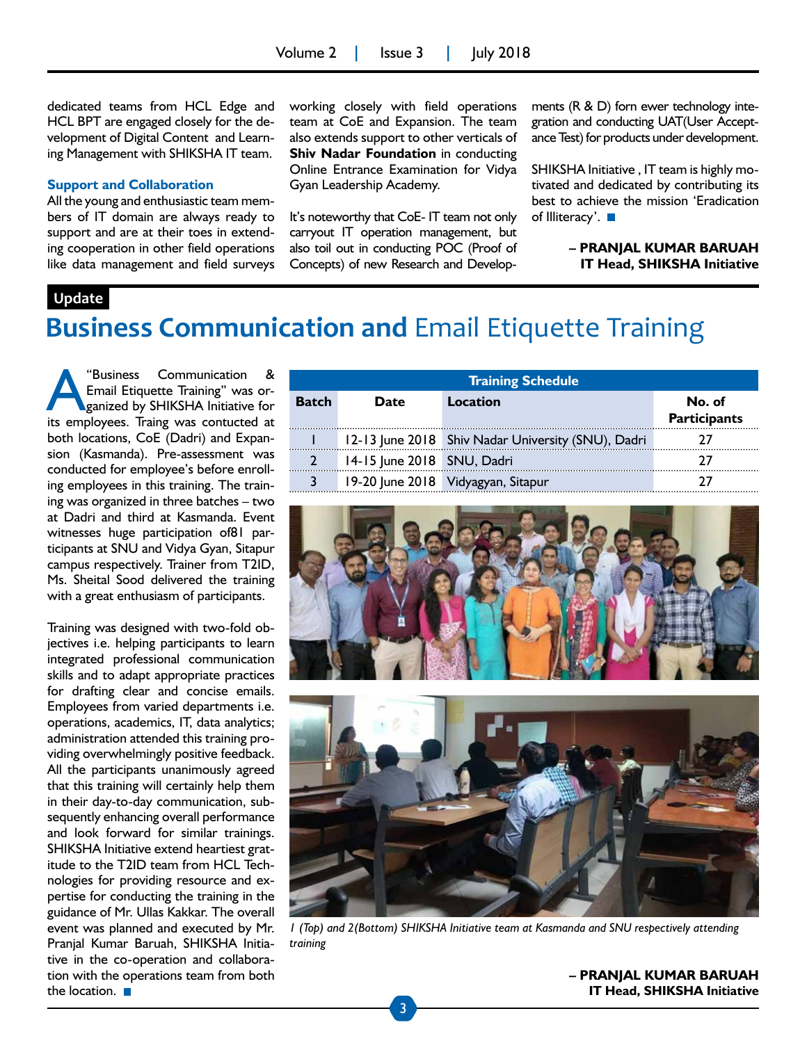dedicated teams from HCL Edge and HCL BPT are engaged closely for the development of Digital Content and Learning Management with SHIKSHA IT team.

#### **Support and Collaboration**

All the young and enthusiastic team members of IT domain are always ready to support and are at their toes in extending cooperation in other field operations like data management and field surveys working closely with field operations team at CoE and Expansion. The team also extends support to other verticals of **Shiv Nadar Foundation** in conducting Online Entrance Examination for Vidya Gyan Leadership Academy.

It's noteworthy that CoE- IT team not only carryout IT operation management, but also toil out in conducting POC (Proof of Concepts) of new Research and Developments (R & D) forn ewer technology integration and conducting UAT(User Acceptance Test) for products under development.

SHIKSHA Initiative , IT team is highly motivated and dedicated by contributing its best to achieve the mission 'Eradication of Illiteracy'. ■

> **– PRANJAL KUMAR BARUAH IT Head, SHIKSHA Initiative**

#### **Update**

# **Business Communication and** Email Etiquette Training

"Business Communication &<br>Email Etiquette Training" was organized by SHIKSHA Initiative for Email Etiquette Training" was organized by SHIKSHA Initiative for its employees. Traing was contucted at both locations, CoE (Dadri) and Expansion (Kasmanda). Pre-assessment was conducted for employee's before enrolling employees in this training. The training was organized in three batches – two at Dadri and third at Kasmanda. Event witnesses huge participation of81 participants at SNU and Vidya Gyan, Sitapur campus respectively. Trainer from T2ID, Ms. Sheital Sood delivered the training with a great enthusiasm of participants.

Training was designed with two-fold objectives i.e. helping participants to learn integrated professional communication skills and to adapt appropriate practices for drafting clear and concise emails. Employees from varied departments i.e. operations, academics, IT, data analytics; administration attended this training providing overwhelmingly positive feedback. All the participants unanimously agreed that this training will certainly help them in their day-to-day communication, subsequently enhancing overall performance and look forward for similar trainings. SHIKSHA Initiative extend heartiest gratitude to the T2ID team from HCL Technologies for providing resource and expertise for conducting the training in the guidance of Mr. Ullas Kakkar. The overall event was planned and executed by Mr. Pranjal Kumar Baruah, SHIKSHA Initiative in the co-operation and collaboration with the operations team from both the location.  $\blacksquare$ 

| <b>Training Schedule</b> |                            |                                                    |                               |  |  |
|--------------------------|----------------------------|----------------------------------------------------|-------------------------------|--|--|
| <b>Batch</b>             | Date                       | Location                                           | No. of<br><b>Participants</b> |  |  |
|                          |                            | 12-13 June 2018 Shiv Nadar University (SNU), Dadri |                               |  |  |
|                          | 14-15 June 2018 SNU, Dadri |                                                    |                               |  |  |
|                          |                            | 19-20 June 2018 Vidyagyan, Sitapur                 |                               |  |  |





*1 (Top) and 2(Bottom) SHIKSHA Initiative team at Kasmanda and SNU respectively attending training*

**– PRANJAL KUMAR BARUAH IT Head, SHIKSHA Initiative**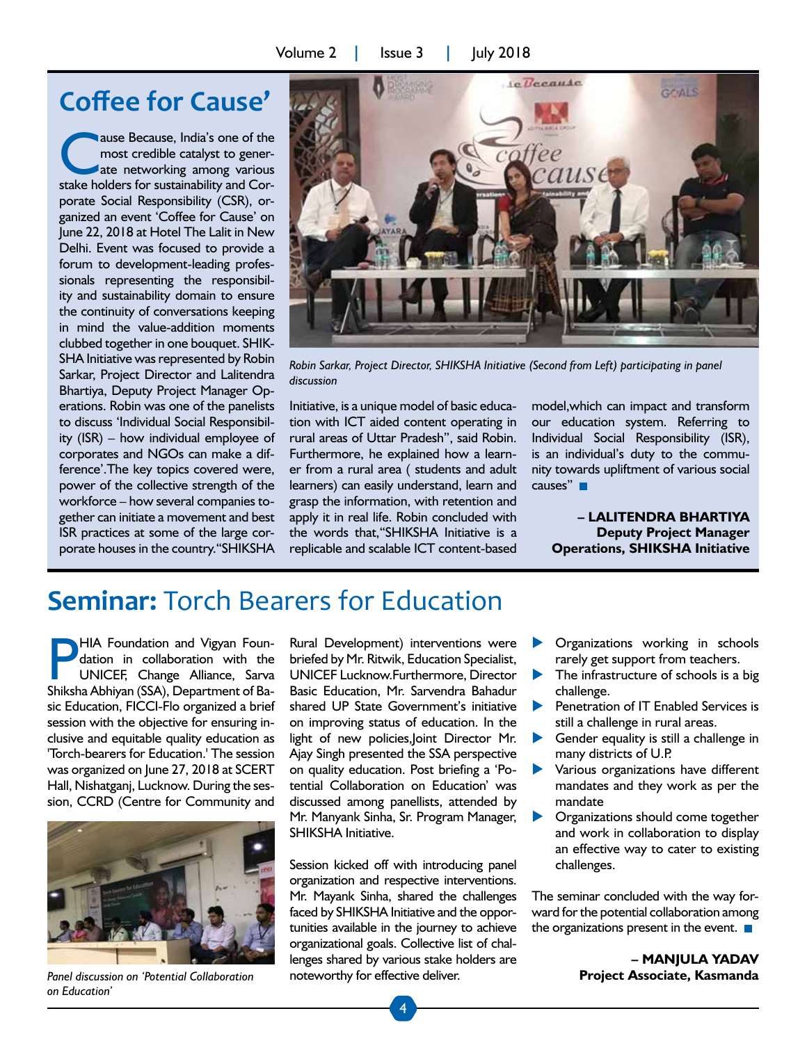## **Coffee for Cause'**

ause Because, India's one of the most credible catalyst to generate networking among various stake holders for sustainability and Corporate Social Responsibility (CSR), organized an event 'Coffee for Cause' on June 22, 2018 at Hotel The Lalit in New Delhi. Event was focused to provide a forum to development-leading professionals representing the responsibility and sustainability domain to ensure the continuity of conversations keeping in mind the value-addition moments clubbed together in one bouquet. SHIK-SHA Initiative was represented by Robin Sarkar, Project Director and Lalitendra Bhartiya, Deputy Project Manager Operations. Robin was one of the panelists to discuss 'Individual Social Responsibility (ISR) – how individual employee of corporates and NGOs can make a difference'.The key topics covered were, power of the collective strength of the workforce – how several companies together can initiate a movement and best ISR practices at some of the large corporate houses in the country."SHIKSHA



*Robin Sarkar, Project Director, SHIKSHA Initiative (Second from Left) participating in panel discussion*

Initiative, is a unique model of basic education with ICT aided content operating in rural areas of Uttar Pradesh", said Robin. Furthermore, he explained how a learner from a rural area ( students and adult learners) can easily understand, learn and grasp the information, with retention and apply it in real life. Robin concluded with the words that,"SHIKSHA Initiative is a replicable and scalable ICT content-based

model,which can impact and transform our education system. Referring to Individual Social Responsibility (ISR), is an individual's duty to the community towards upliftment of various social causes" **I** 

#### **– LALITENDRA BHARTIYA Deputy Project Manager Operations, SHIKSHA Initiative**

## **Seminar:** Torch Bearers for Education

HIA Foundation and Vigyan Foundation in collaboration with the UNICEF, Change Alliance, Sarva Shiksha Abhiyan (SSA), Department of Basic Education, FICCI-Flo organized a brief session with the objective for ensuring inclusive and equitable quality education as 'Torch-bearers for Education.' The session was organized on June 27, 2018 at SCERT Hall, Nishatganj, Lucknow. During the session, CCRD (Centre for Community and



*on Education'*

Rural Development) interventions were briefed by Mr. Ritwik, Education Specialist, UNICEF Lucknow.Furthermore, Director Basic Education, Mr. Sarvendra Bahadur shared UP State Government's initiative on improving status of education. In the light of new policies,Joint Director Mr. Ajay Singh presented the SSA perspective on quality education. Post briefing a 'Potential Collaboration on Education' was discussed among panellists, attended by Mr. Manyank Sinha, Sr. Program Manager, SHIKSHA Initiative.

Session kicked off with introducing panel organization and respective interventions. Mr. Mayank Sinha, shared the challenges faced by SHIKSHA Initiative and the opportunities available in the journey to achieve organizational goals. Collective list of challenges shared by various stake holders are *Panel discussion on 'Potential Collaboration* noteworthy for effective deliver.

- Organizations working in schools rarely get support from teachers.
- The infrastructure of schools is a big challenge.
- Penetration of IT Enabled Services is still a challenge in rural areas.
- Gender equality is still a challenge in many districts of U.P.
- Various organizations have different mandates and they work as per the mandate
- Organizations should come together and work in collaboration to display an effective way to cater to existing challenges.

The seminar concluded with the way forward for the potential collaboration among the organizations present in the event.  $\blacksquare$ 

> **– MANJULA YADAV Project Associate, Kasmanda**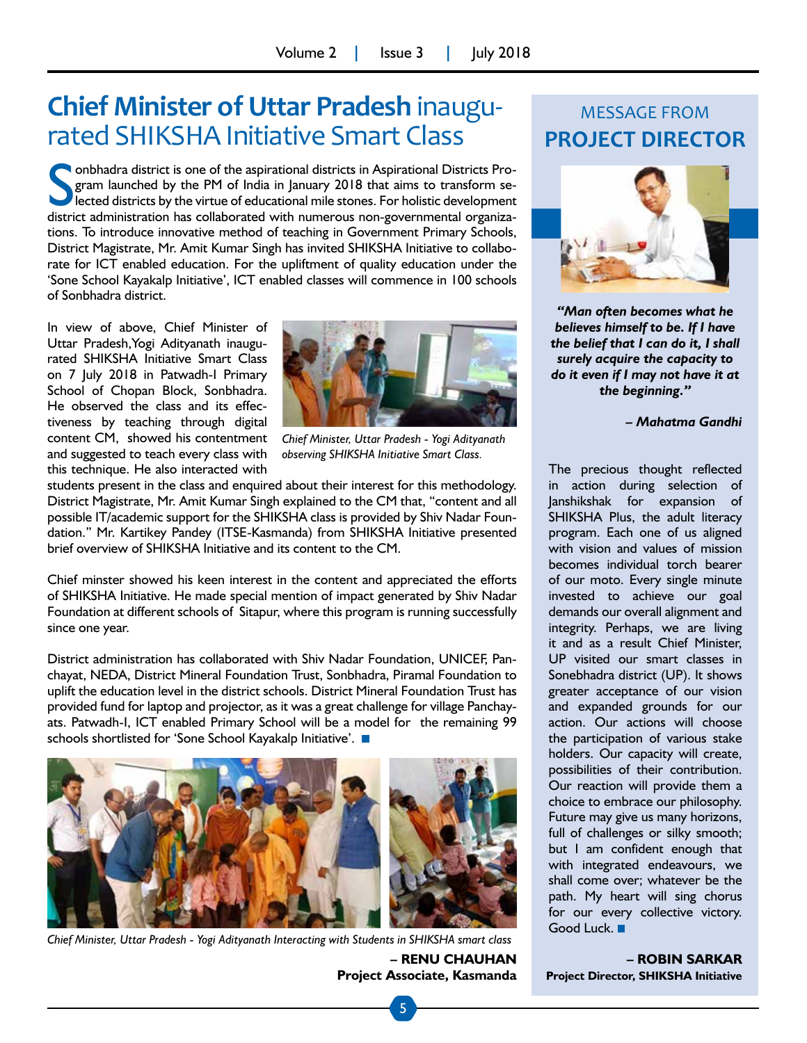# **Chief Minister of Uttar Pradesh** inaugu- rated SHIKSHA Initiative Smart Class

**Solution and School State and School State and School State and School State and School State administration has collaborated with numerous non-governmental organiza-<br>district administration has collaborated with numerous** onbhadra district is one of the aspirational districts in Aspirational Districts Program launched by the PM of India in January 2018 that aims to transform selected districts by the virtue of educational mile stones. For holistic development tions. To introduce innovative method of teaching in Government Primary Schools, District Magistrate, Mr. Amit Kumar Singh has invited SHIKSHA Initiative to collaborate for ICT enabled education. For the upliftment of quality education under the 'Sone School Kayakalp Initiative', ICT enabled classes will commence in 100 schools of Sonbhadra district.

In view of above, Chief Minister of Uttar Pradesh,Yogi Adityanath inaugurated SHIKSHA Initiative Smart Class on 7 July 2018 in Patwadh-I Primary School of Chopan Block, Sonbhadra. He observed the class and its effectiveness by teaching through digital content CM, showed his contentment and suggested to teach every class with this technique. He also interacted with



*Chief Minister, Uttar Pradesh - Yogi Adityanath observing SHIKSHA Initiative Smart Class.*

students present in the class and enquired about their interest for this methodology. District Magistrate, Mr. Amit Kumar Singh explained to the CM that, "content and all possible IT/academic support for the SHIKSHA class is provided by Shiv Nadar Foundation." Mr. Kartikey Pandey (ITSE-Kasmanda) from SHIKSHA Initiative presented brief overview of SHIKSHA Initiative and its content to the CM.

Chief minster showed his keen interest in the content and appreciated the efforts of SHIKSHA Initiative. He made special mention of impact generated by Shiv Nadar Foundation at different schools of Sitapur, where this program is running successfully since one year.

District administration has collaborated with Shiv Nadar Foundation, UNICEF, Panchayat, NEDA, District Mineral Foundation Trust, Sonbhadra, Piramal Foundation to uplift the education level in the district schools. District Mineral Foundation Trust has provided fund for laptop and projector, as it was a great challenge for village Panchayats. Patwadh-I, ICT enabled Primary School will be a model for the remaining 99 schools shortlisted for 'Sone School Kayakalp Initiative'.



*Chief Minister, Uttar Pradesh - Yogi Adityanath Interacting with Students in SHIKSHA smart class*

**– RENU CHAUHAN Project Associate, Kasmanda**

## MESSAGE FROM **PROJECT DIRECTOR**



*"Man often becomes what he believes himself to be. If I have the belief that I can do it, I shall surely acquire the capacity to do it even if I may not have it at the beginning."*

*– Mahatma Gandhi*

The precious thought reflected in action during selection of Janshikshak for expansion of SHIKSHA Plus, the adult literacy program. Each one of us aligned with vision and values of mission becomes individual torch bearer of our moto. Every single minute invested to achieve our goal demands our overall alignment and integrity. Perhaps, we are living it and as a result Chief Minister, UP visited our smart classes in Sonebhadra district (UP). It shows greater acceptance of our vision and expanded grounds for our action. Our actions will choose the participation of various stake holders. Our capacity will create, possibilities of their contribution. Our reaction will provide them a choice to embrace our philosophy. Future may give us many horizons, full of challenges or silky smooth; but I am confident enough that with integrated endeavours, we shall come over; whatever be the path. My heart will sing chorus for our every collective victory. Good Luck.

**– ROBIN SARKAR Project Director, SHIKSHA Initiative**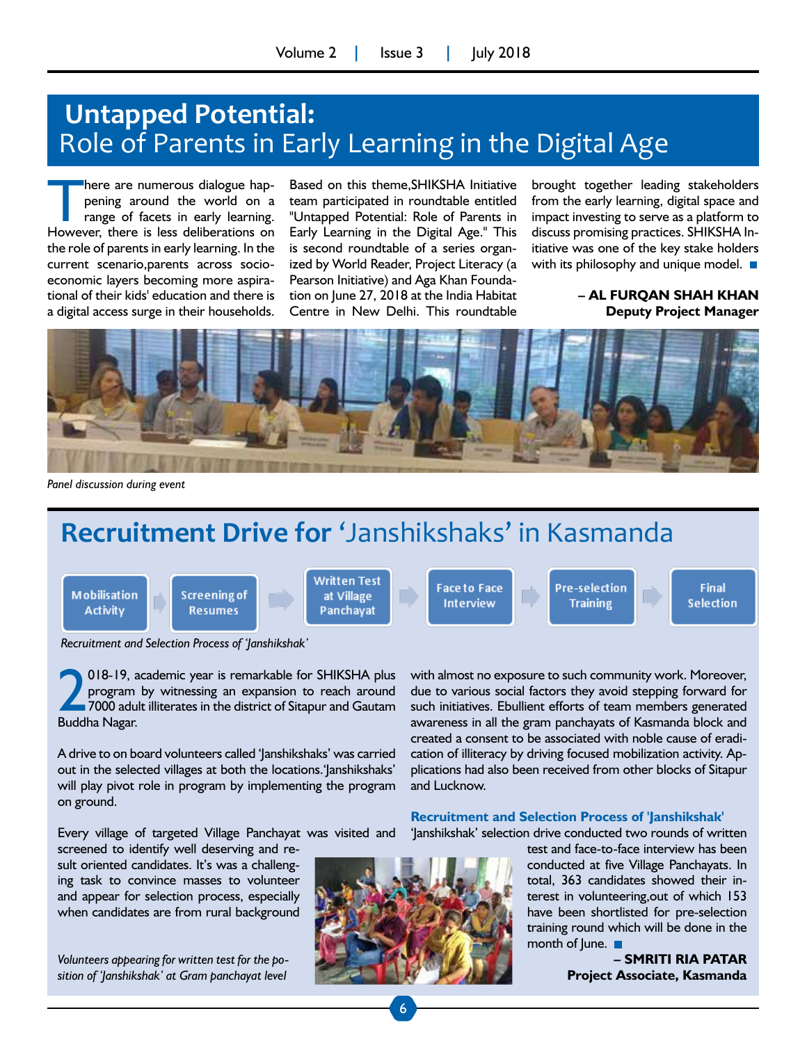## **Untapped Potential:**  Role of Parents in Early Learning in the Digital Age

There are numerous dialogue hap-<br>
pening around the world on a<br>
range of facets in early learning.<br>
However, there is less deliberations on pening around the world on a However, there is less deliberations on the role of parents in early learning. In the current scenario,parents across socioeconomic layers becoming more aspirational of their kids' education and there is a digital access surge in their households.

Based on this theme,SHIKSHA Initiative team participated in roundtable entitled "Untapped Potential: Role of Parents in Early Learning in the Digital Age." This is second roundtable of a series organized by World Reader, Project Literacy (a Pearson Initiative) and Aga Khan Foundation on June 27, 2018 at the India Habitat Centre in New Delhi. This roundtable

brought together leading stakeholders from the early learning, digital space and impact investing to serve as a platform to discuss promising practices. SHIKSHA Initiative was one of the key stake holders with its philosophy and unique model.  $\blacksquare$ 

#### **– AL FURQAN SHAH KHAN Deputy Project Manager**



*Panel discussion during event*

# **Recruitment Drive for** 'Janshikshaks' in Kasmanda

**Mobilisation Activity** 

Screening of **Resumes** 

Written Test at Village Panchayat

**Face to Face Interview** 

Pre-selection **Training** 

**Final Selection** 

*Recruitment and Selection Process of 'Janshikshak'*

**2** 018-19, a<br>program<br>27000 adul<br>Buddha Nagar. 018-19, academic year is remarkable for SHIKSHA plus program by witnessing an expansion to reach around 7000 adult illiterates in the district of Sitapur and Gautam

A drive to on board volunteers called 'Janshikshaks' was carried out in the selected villages at both the locations.'Janshikshaks' will play pivot role in program by implementing the program on ground.

Every village of targeted Village Panchayat was visited and

screened to identify well deserving and result oriented candidates. It's was a challenging task to convince masses to volunteer and appear for selection process, especially when candidates are from rural background

*Volunteers appearing for written test for the position of 'Janshikshak' at Gram panchayat level*



with almost no exposure to such community work. Moreover, due to various social factors they avoid stepping forward for such initiatives. Ebullient efforts of team members generated awareness in all the gram panchayats of Kasmanda block and created a consent to be associated with noble cause of eradication of illiteracy by driving focused mobilization activity. Applications had also been received from other blocks of Sitapur and Lucknow.

#### **Recruitment and Selection Process of 'Janshikshak'**

'Janshikshak' selection drive conducted two rounds of written

test and face-to-face interview has been conducted at five Village Panchayats. In total, 363 candidates showed their interest in volunteering,out of which 153 have been shortlisted for pre-selection training round which will be done in the month of  $|$ une.  $\blacksquare$ 

> **– SMRITI RIA PATAR Project Associate, Kasmanda**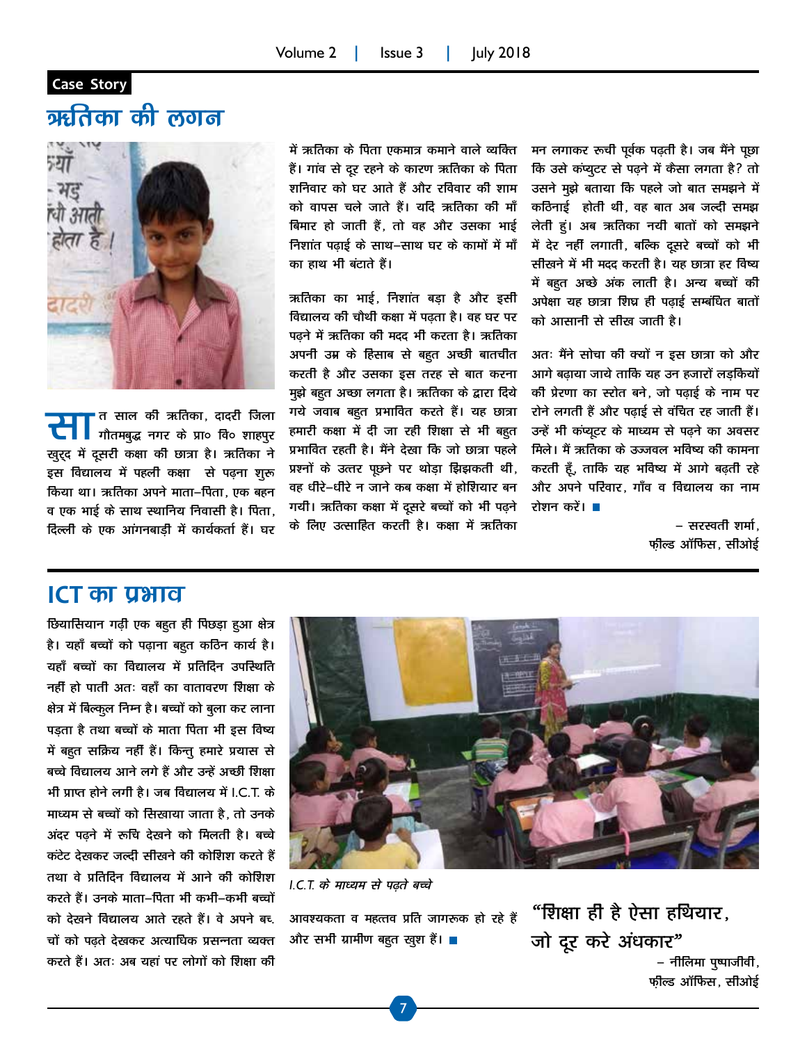#### **Case Story**

## ऋतिका की लगन



 $\prod_{\stackrel{\scriptstyle \pi}{\scriptstyle \pi\pi}}$ त साल की ऋतिका, दादरी जिला गौतमबुद्ध नगर के प्रा० वि० शाहपुर खुर्द्द में दूसरी कक्षा की छात्रा है। ऋतिका ने इस विद्यालय में पहली कक्षा से पढ़ना शुरू किया था। ऋतिका अपने माता–पिता, एक बहन व एक भाई के साथ स्थानिय निवासी है। पिता, दिल्ली के एक आंगनबाड़ी में कार्यकर्ता हैं। घर

में ऋतिका के पिता एकमात्र कमाने वाले व्यक्ति हैं। गांव से दूर रहने के कारण ऋतिका के पिता शनिवार को घर आते हैं और रविवार की शाम को वापस चले जाते हैं। यदि ऋतिका की माँ बिमार हो जाती हैं, तो वह और उसका भाई निशांत पढ़ाई के साथ–साथ घर के कामों में माँ का हाथ भी बंटाते हैं।

ऋतिका का भाई, निशांत बडा है और इसी विद्यालय की चौथी कक्षा में पढता है। वह घर पर पढने में ऋतिका की मदद भी करता है। ऋतिका अपनी उम्र के हिसाब से बहुत अच्छी बातचीत करती है और उसका इस तरह से बात करना मुझे बहुत अच्छा लगता है। ऋतिका के द्वारा दिये गये जवाब बहुत प्रभावित करते हैं। यह छात्रा हमारी कक्षा में दी जा रही शिक्षा से भी बहत प्रभावित रहती है। मैंने देखा कि जो छात्रा पहले प्रश्नों के उत्तर पूछने पर थोड़ा झिझकती थी, वह धीरे–धीरे न जाने कब कक्षा में होशियार बन गयीं। ऋतिका कक्षा में दूसरे बच्चों को भी पढ़ने के लिए उत्साहित करती है। कक्षा में ऋतिका

मन लगाकर रूची पूर्वक पढ़ती है। जब मैंने पूछा कि उसे कंप्यूटर से पढ़ने में कैसा लगता है? तो उसने मुझे बताया कि पहले जो बात समझने में कठिनाई होती थी, वह बात अब जल्दी समझ लेती हूं। अब ऋतिका नयी बातों को समझने में देर नहीं लगाती, बल्कि दूसरे बच्चों को भी सीखने में भी मदद करती है। यह छात्रा हर विष्य में बहुत अच्छे अंक लाती है। अन्य बच्चों की अपेक्षा यह छात्रा शिघ्र ही पढाई सम्बंधित बातों को आसानी से सीख जाती है।

अतः मैंने सोचा की क्यों न इस छात्रा को और आगे बढ़ाया जाये ताकि यह उन हजारों लड़कियों की प्रेरणा का स्टोत बने, जो पढाई के नाम पर रोने लगती हैं और पढ़ाई से वंचित रह जाती हैं। उन्हें भी कंप्यूटर के माध्यम से पढ़ने का अवसर मिले। मैं ऋतिका के उज्जवल भविष्य की कामना करती हूँ, ताकि यह भविष्य में आगे बढ़ती रहे और अपने परिवार, गाँव व विद्यालय का नाम रोशन करें। ■

> – सरस्वती शर्मा. फील्ड ऑफिस, सीओई

#### **ICT** का प्रभाव

<u>छियासियान गढ़ी एक बहुत ही पिछड़ा हु</u>आ क्षेत्र है। यहाँ बच्चों को पढ़ाना बहुत कठिन कार्य है। चहाँ बच्चों का विद्यालय में प्रतिदिन उपस्थिति नहीं हो पाती अतः वहाँ का वातावरण शिक्षा के क्षेत्र में बिल्कुल निम्न है। बच्चों को बुला कर लाना पड़ता है तथा बच्चों के माता पिता भी इस विष्य में बहुत सक्रिय नहीं हैं। किन्तु हमारे प्रयास से बच्चे विद्यालय आने लगे हैं और उन्हें अच्छी शिक्षा भी प्राप्त होने लगी है। जब विद्यालय में LC.T. के माध्यम से बच्चों को सिखाया जाता है. तो उनके अंदर पढ़ने में रूचि देखने को मिलती है। बच्चे कंटेट देखकर जल्दी सीखने की कोशिश करते हैं तथा वे प्रतिदिन विद्यालय में आने की कोशिश करते हैं। उनके माता–पिता भी कभी–कभी बच्चों को देखने विद्यालय आते रहते हैं। वे अपने बच् चों को पढ़ते देखकर अत्याधिक प्रसन्नता व्यक्त करते हैं। अतः अब यहां पर लोगों को शिक्षा की



I.C.T. के माध्यम से पढ़ते बच्चे

आवश्यकता व महत्तव प्रति जागरूक हो रहे हैं और सभी ग्रामीण बहुत खुश हैं।  $\blacksquare$ 

"शिक्षा ही है ऐसा हथियार. जो दूर करे अंधकार" – नीलिमा पुष्पाजीवी, फील्ड ऑफिस, सीओई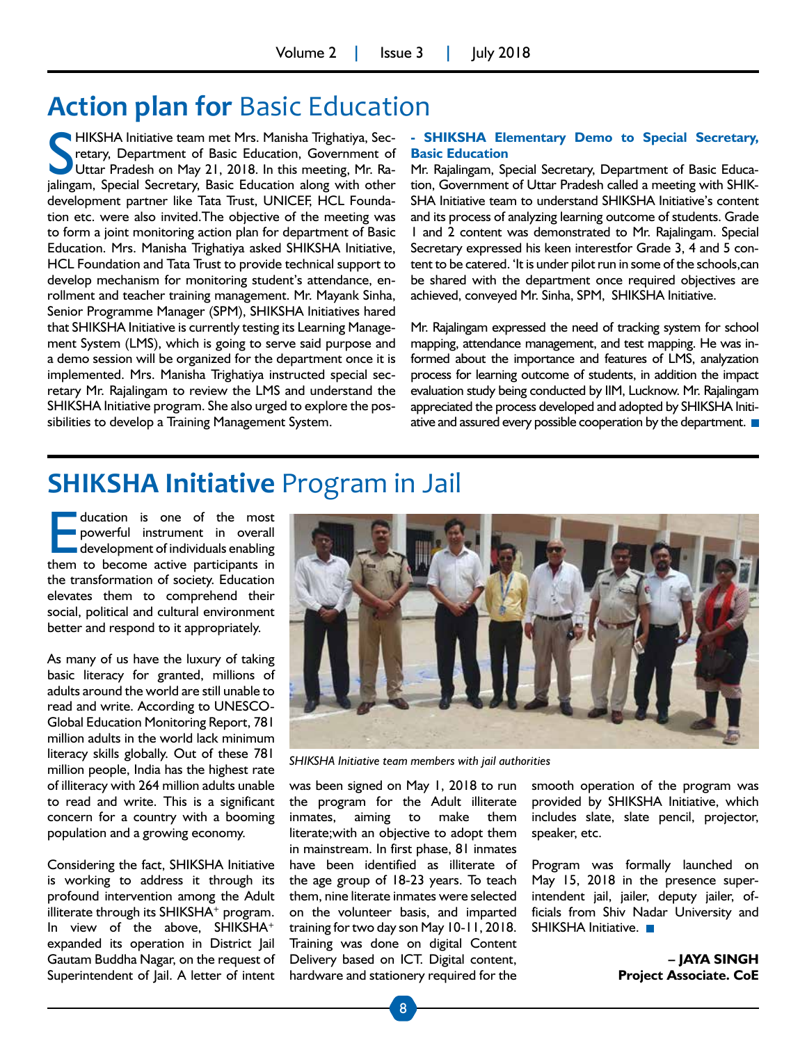# **Action plan for** Basic Education

HIKSHA Initiative team met Mrs. Manisha Trighatiya, Secretary, Department of Basic Education, Government of Uttar Pradesh on May 21, 2018. In this meeting, Mr. Raretary, Department of Basic Education, Government of Uttar Pradesh on May 21, 2018. In this meeting, Mr. Rajalingam, Special Secretary, Basic Education along with other development partner like Tata Trust, UNICEF, HCL Foundation etc. were also invited.The objective of the meeting was to form a joint monitoring action plan for department of Basic Education. Mrs. Manisha Trighatiya asked SHIKSHA Initiative, HCL Foundation and Tata Trust to provide technical support to develop mechanism for monitoring student's attendance, enrollment and teacher training management. Mr. Mayank Sinha, Senior Programme Manager (SPM), SHIKSHA Initiatives hared that SHIKSHA Initiative is currently testing its Learning Management System (LMS), which is going to serve said purpose and a demo session will be organized for the department once it is implemented. Mrs. Manisha Trighatiya instructed special secretary Mr. Rajalingam to review the LMS and understand the SHIKSHA Initiative program. She also urged to explore the possibilities to develop a Training Management System.

#### **- SHIKSHA Elementary Demo to Special Secretary, Basic Education**

Mr. Rajalingam, Special Secretary, Department of Basic Education, Government of Uttar Pradesh called a meeting with SHIK-SHA Initiative team to understand SHIKSHA Initiative's content and its process of analyzing learning outcome of students. Grade 1 and 2 content was demonstrated to Mr. Rajalingam. Special Secretary expressed his keen interestfor Grade 3, 4 and 5 content to be catered. 'It is under pilot run in some of the schools,can be shared with the department once required objectives are achieved, conveyed Mr. Sinha, SPM, SHIKSHA Initiative.

Mr. Rajalingam expressed the need of tracking system for school mapping, attendance management, and test mapping. He was informed about the importance and features of LMS, analyzation process for learning outcome of students, in addition the impact evaluation study being conducted by IIM, Lucknow. Mr. Rajalingam appreciated the process developed and adopted by SHIKSHA Initiative and assured every possible cooperation by the department.

## **SHIKSHA Initiative** Program in Jail

ducation is one of the most<br>powerful instrument in overall<br>development of individuals enabling<br>them to become active participants in powerful instrument in overall development of individuals enabling them to become active participants in the transformation of society. Education elevates them to comprehend their social, political and cultural environment better and respond to it appropriately.

As many of us have the luxury of taking basic literacy for granted, millions of adults around the world are still unable to read and write. According to UNESCO-Global Education Monitoring Report, 781 million adults in the world lack minimum literacy skills globally. Out of these 781 million people, India has the highest rate of illiteracy with 264 million adults unable to read and write. This is a significant concern for a country with a booming population and a growing economy.

Considering the fact, SHIKSHA Initiative is working to address it through its profound intervention among the Adult illiterate through its SHIKSHA<sup>+</sup> program. In view of the above, SHIKSHA<sup>+</sup> expanded its operation in District Jail Gautam Buddha Nagar, on the request of Superintendent of Jail. A letter of intent



*SHIKSHA Initiative team members with jail authorities*

was been signed on May 1, 2018 to run the program for the Adult illiterate inmates, aiming to make them literate;with an objective to adopt them in mainstream. In first phase, 81 inmates have been identified as illiterate of the age group of 18-23 years. To teach them, nine literate inmates were selected on the volunteer basis, and imparted training for two day son May 10-11, 2018. Training was done on digital Content Delivery based on ICT. Digital content, hardware and stationery required for the

smooth operation of the program was provided by SHIKSHA Initiative, which includes slate, slate pencil, projector, speaker, etc.

Program was formally launched on May 15, 2018 in the presence superintendent jail, jailer, deputy jailer, officials from Shiv Nadar University and SHIKSHA Initiative.

> **– JAYA SINGH Project Associate. CoE**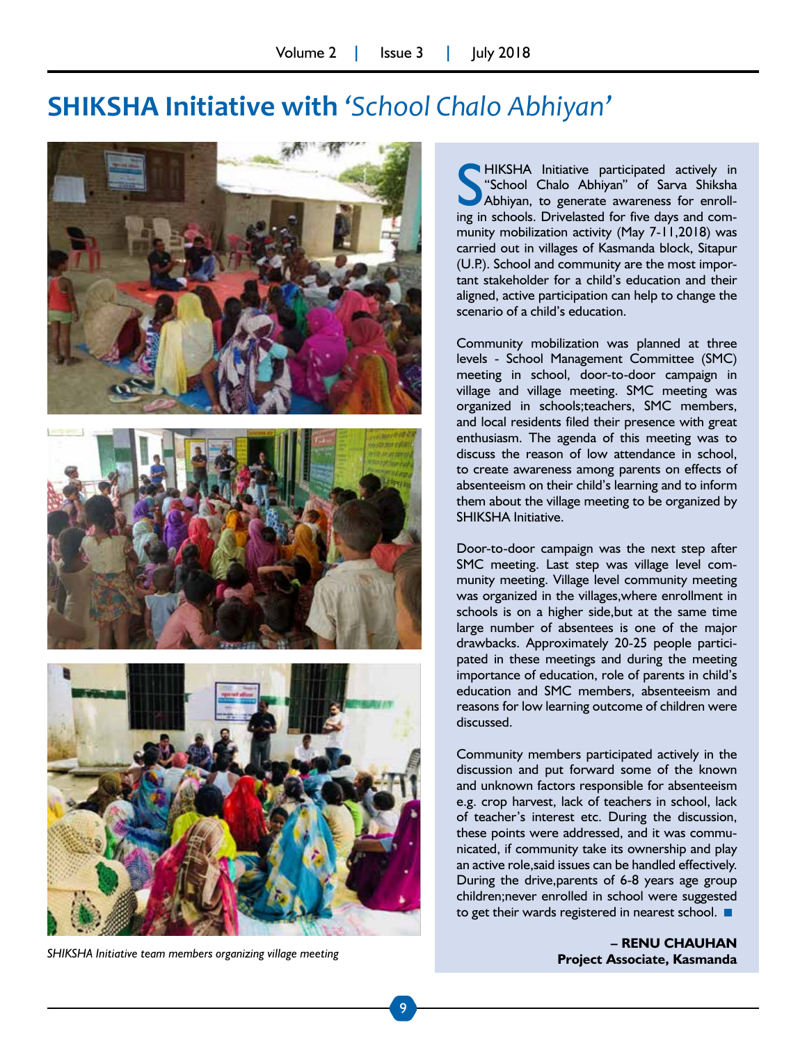## **SHIKSHA Initiative with** *'School Chalo Abhiyan'*







**Project Associate, Kasmanda** *SHIKSHA Initiative team members organizing village meeting*

**SHA** Initiative participated actively in "School Chalo Abhiyan" of Sarva Shiksha<br>Abhiyan, to generate awareness for enroll-<br>ing in schools. Drivelasted for five days and com-HIKSHA Initiative participated actively in "School Chalo Abhiyan" of Sarva Shiksha Abhiyan, to generate awareness for enrollmunity mobilization activity (May 7-11,2018) was carried out in villages of Kasmanda block, Sitapur (U.P.). School and community are the most important stakeholder for a child's education and their aligned, active participation can help to change the scenario of a child's education.

Community mobilization was planned at three levels - School Management Committee (SMC) meeting in school, door-to-door campaign in village and village meeting. SMC meeting was organized in schools;teachers, SMC members, and local residents filed their presence with great enthusiasm. The agenda of this meeting was to discuss the reason of low attendance in school, to create awareness among parents on effects of absenteeism on their child's learning and to inform them about the village meeting to be organized by SHIKSHA Initiative.

Door-to-door campaign was the next step after SMC meeting. Last step was village level community meeting. Village level community meeting was organized in the villages,where enrollment in schools is on a higher side,but at the same time large number of absentees is one of the major drawbacks. Approximately 20-25 people participated in these meetings and during the meeting importance of education, role of parents in child's education and SMC members, absenteeism and reasons for low learning outcome of children were discussed.

Community members participated actively in the discussion and put forward some of the known and unknown factors responsible for absenteeism e.g. crop harvest, lack of teachers in school, lack of teacher's interest etc. During the discussion, these points were addressed, and it was communicated, if community take its ownership and play an active role,said issues can be handled effectively. During the drive,parents of 6-8 years age group children;never enrolled in school were suggested to get their wards registered in nearest school.

**– RENU CHAUHAN**